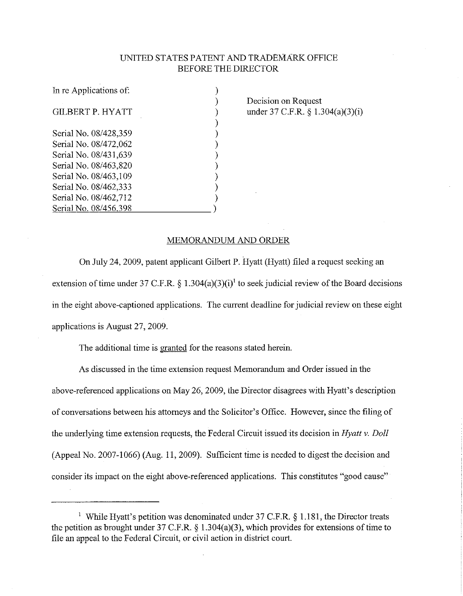## UNITED STATES PA TENT AND TRADEMARK OFFICE BEFORE THE DIRECTOR

| In re Applications of: |  |
|------------------------|--|
|                        |  |
| GILBERT P. HYATT       |  |
|                        |  |
| Serial No. 08/428,359  |  |
| Serial No. 08/472,062  |  |
| Serial No. 08/431,639  |  |
| Serial No. 08/463,820  |  |
| Serial No. 08/463,109  |  |
| Serial No. 08/462,333  |  |
| Serial No. 08/462.712  |  |
| Serial No. 08/456,398  |  |
|                        |  |

Decision on Request under 37 C.F.R. § 1.304(a)(3)(i)

## MEMORANDUM AND ORDER

On July 24, 2009, patent applicant Gilbert P. Hyatt (Hyatt) filed a request seeking an extension of time under 37 C.F.R. § 1.304(a)(3)(i)<sup>1</sup> to seek judicial review of the Board decisions in the eight above-captioned applications. The current deadline for judicial review on these eight applications is August 27, 2009.

The additional time is granted for the reasons stated herein.

As discussed in the time extension request Memorandum and Order issued in the above-referenced applications on May 26, 2009, the Director disagrees with Hyatt's description of conversations between his attorneys and the Solicitor's Office. However, since the filing of the underlying time extension requests, the Federal Circuit issued its decision in *Hyatt v. Doll*  (Appeal No. 2007-1066) (Aug. 11, 2009). Sufficient time is needed to digest the decision and consider its impact on the eight above-referenced applications. This constitutes "good cause"

<sup>&</sup>lt;sup>1</sup> While Hyatt's petition was denominated under 37 C.F.R.  $\S$  1.181, the Director treats the petition as brought under 37 C.F.R.  $\S$  1.304(a)(3), which provides for extensions of time to file an appeal to the Federal Circuit, or civil action in district court.